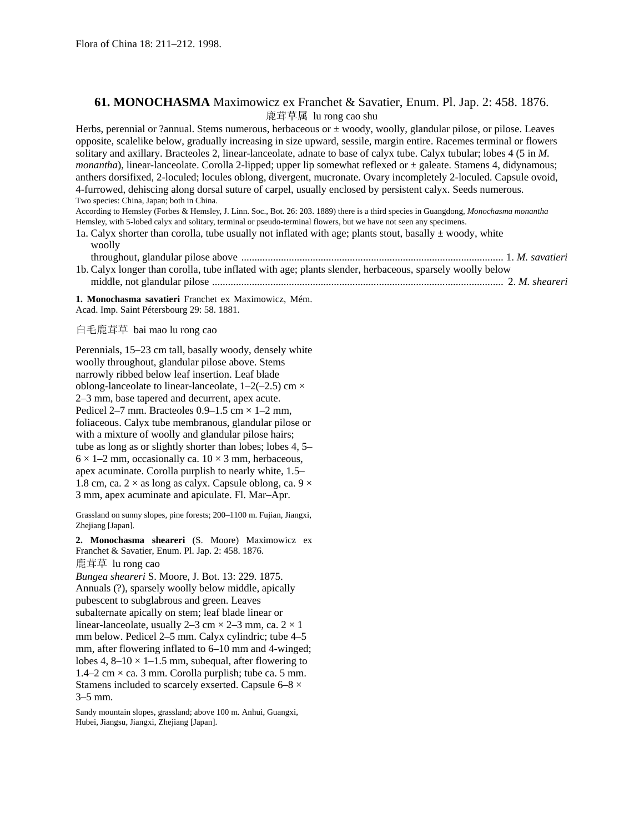## **61. MONOCHASMA** Maximowicz ex Franchet & Savatier, Enum. Pl. Jap. 2: 458. 1876. 鹿茸草属 lu rong cao shu

Herbs, perennial or ?annual. Stems numerous, herbaceous or ± woody, woolly, glandular pilose, or pilose. Leaves opposite, scalelike below, gradually increasing in size upward, sessile, margin entire. Racemes terminal or flowers solitary and axillary. Bracteoles 2, linear-lanceolate, adnate to base of calyx tube. Calyx tubular; lobes 4 (5 in *M. monantha*), linear-lanceolate. Corolla 2-lipped; upper lip somewhat reflexed or  $\pm$  galeate. Stamens 4, didynamous; anthers dorsifixed, 2-loculed; locules oblong, divergent, mucronate. Ovary incompletely 2-loculed. Capsule ovoid, 4-furrowed, dehiscing along dorsal suture of carpel, usually enclosed by persistent calyx. Seeds numerous. Two species: China, Japan; both in China.

According to Hemsley (Forbes & Hemsley, J. Linn. Soc., Bot. 26: 203. 1889) there is a third species in Guangdong, *Monochasma monantha* Hemsley, with 5-lobed calyx and solitary, terminal or pseudo-terminal flowers, but we have not seen any specimens.

|        |  |  |  |  | 1a. Calyx shorter than corolla, tube usually not inflated with age; plants stout, basally $\pm$ woody, white |  |  |  |  |
|--------|--|--|--|--|--------------------------------------------------------------------------------------------------------------|--|--|--|--|
| woolly |  |  |  |  |                                                                                                              |  |  |  |  |
|        |  |  |  |  |                                                                                                              |  |  |  |  |

throughout, glandular pilose above ................................................................................................... 1. *M. savatieri* 1b. Calyx longer than corolla, tube inflated with age; plants slender, herbaceous, sparsely woolly below middle, not glandular pilose .............................................................................................................. 2. *M. sheareri*

**1. Monochasma savatieri** Franchet ex Maximowicz, Mém. Acad. Imp. Saint Pétersbourg 29: 58. 1881.

## 白毛鹿茸草 bai mao lu rong cao

Perennials, 15–23 cm tall, basally woody, densely white woolly throughout, glandular pilose above. Stems narrowly ribbed below leaf insertion. Leaf blade oblong-lanceolate to linear-lanceolate,  $1-2(-2.5)$  cm  $\times$ 2–3 mm, base tapered and decurrent, apex acute. Pedicel 2–7 mm. Bracteoles  $0.9-1.5$  cm  $\times$  1–2 mm, foliaceous. Calyx tube membranous, glandular pilose or with a mixture of woolly and glandular pilose hairs; tube as long as or slightly shorter than lobes; lobes 4, 5–  $6 \times 1$ –2 mm, occasionally ca.  $10 \times 3$  mm, herbaceous, apex acuminate. Corolla purplish to nearly white, 1.5– 1.8 cm, ca. 2  $\times$  as long as calyx. Capsule oblong, ca. 9  $\times$ 3 mm, apex acuminate and apiculate. Fl. Mar–Apr.

Grassland on sunny slopes, pine forests; 200–1100 m. Fujian, Jiangxi, Zhejiang [Japan].

**2. Monochasma sheareri** (S. Moore) Maximowicz ex Franchet & Savatier, Enum. Pl. Jap. 2: 458. 1876. 鹿茸草 lu rong cao

*Bungea sheareri* S. Moore, J. Bot. 13: 229. 1875. Annuals (?), sparsely woolly below middle, apically pubescent to subglabrous and green. Leaves subalternate apically on stem; leaf blade linear or linear-lanceolate, usually 2–3 cm  $\times$  2–3 mm, ca. 2  $\times$  1 mm below. Pedicel 2–5 mm. Calyx cylindric; tube 4–5 mm, after flowering inflated to 6–10 mm and 4-winged; lobes 4,  $8-10 \times 1-1.5$  mm, subequal, after flowering to 1.4–2 cm  $\times$  ca. 3 mm. Corolla purplish; tube ca. 5 mm. Stamens included to scarcely exserted. Capsule  $6-8 \times$ 3–5 mm.

Sandy mountain slopes, grassland; above 100 m. Anhui, Guangxi, Hubei, Jiangsu, Jiangxi, Zhejiang [Japan].